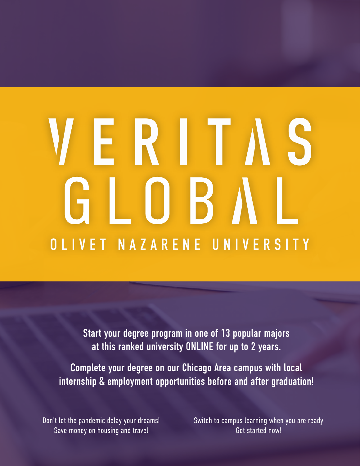# ERIT OB. OLIVET NAZARENE UNIVERSITY

Start your degree program in one of 13 popular majors at this ranked university ONLINE for up to 2 years.

Complete your degree on our Chicago Area campus with local internship & employment opportunities before and after graduation!

Don't let the pandemic delay your dreams! Save money on housing and travel

Switch to campus learning when you are ready Get started now!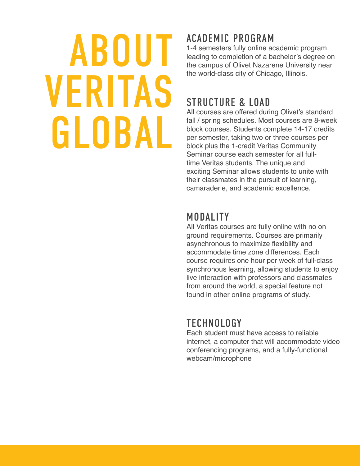# ABOUT VERITAS GLOBAL

# ACADEMIC PROGRAM

1-4 semesters fully online academic program leading to completion of a bachelor's degree on the campus of Olivet Nazarene University near the world-class city of Chicago, Illinois.

### STRUCTURE & LOAD

All courses are offered during Olivet's standard fall / spring schedules. Most courses are 8-week block courses. Students complete 14-17 credits per semester, taking two or three courses per block plus the 1-credit Veritas Community Seminar course each semester for all fulltime Veritas students. The unique and exciting Seminar allows students to unite with their classmates in the pursuit of learning, camaraderie, and academic excellence.

### MODALITY

All Veritas courses are fully online with no on ground requirements. Courses are primarily asynchronous to maximize flexibility and accommodate time zone differences. Each course requires one hour per week of full-class synchronous learning, allowing students to enjoy live interaction with professors and classmates from around the world, a special feature not found in other online programs of study.

# **TECHNOLOGY**

Each student must have access to reliable internet, a computer that will accommodate video conferencing programs, and a fully-functional webcam/microphone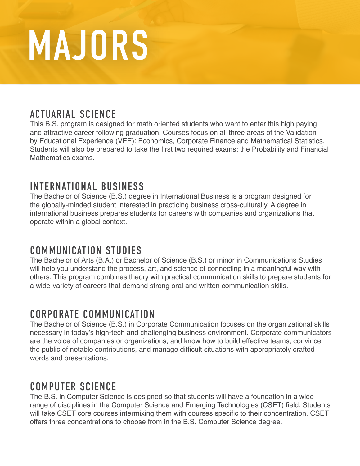# MAJORS

### ACTUARIAL SCIENCE

This B.S. program is designed for math oriented students who want to enter this high paying and attractive career following graduation. Courses focus on all three areas of the Validation by Educational Experience (VEE): Economics, Corporate Finance and Mathematical Statistics. Students will also be prepared to take the first two required exams: the Probability and Financial Mathematics exams.

### INTERNATIONAL BUSINESS

The Bachelor of Science (B.S.) degree in International Business is a program designed for the globally-minded student interested in practicing business cross-culturally. A degree in international business prepares students for careers with companies and organizations that operate within a global context.

#### COMMUNICATION STUDIES

The Bachelor of Arts (B.A.) or Bachelor of Science (B.S.) or minor in Communications Studies will help you understand the process, art, and science of connecting in a meaningful way with others. This program combines theory with practical communication skills to prepare students for a wide-variety of careers that demand strong oral and written communication skills.

### CORPORATE COMMUNICATION

The Bachelor of Science (B.S.) in Corporate Communication focuses on the organizational skills necessary in today's high-tech and challenging business environment. Corporate communicators are the voice of companies or organizations, and know how to build effective teams, convince the public of notable contributions, and manage difficult situations with appropriately crafted words and presentations.

### COMPUTER SCIENCE

The B.S. in Computer Science is designed so that students will have a foundation in a wide range of disciplines in the Computer Science and Emerging Technologies (CSET) field. Students will take CSET core courses intermixing them with courses specific to their concentration. CSET offers three concentrations to choose from in the B.S. Computer Science degree.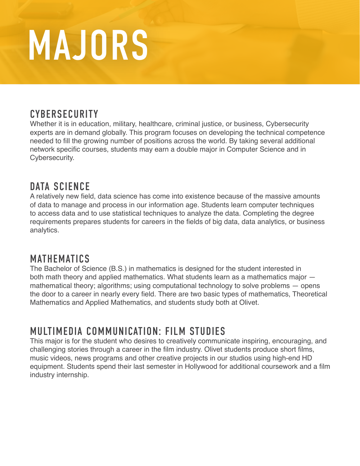# MAJORS

### **CYBERSECURITY**

Whether it is in education, military, healthcare, criminal justice, or business, Cybersecurity experts are in demand globally. This program focuses on developing the technical competence needed to fill the growing number of positions across the world. By taking several additional network specific courses, students may earn a double major in Computer Science and in Cybersecurity.

### DATA SCIENCE

A relatively new field, data science has come into existence because of the massive amounts of data to manage and process in our information age. Students learn computer techniques to access data and to use statistical techniques to analyze the data. Completing the degree requirements prepares students for careers in the fields of big data, data analytics, or business analytics.

#### MATHEMATICS

The Bachelor of Science (B.S.) in mathematics is designed for the student interested in both math theory and applied mathematics. What students learn as a mathematics major mathematical theory; algorithms; using computational technology to solve problems — opens the door to a career in nearly every field. There are two basic types of mathematics, Theoretical Mathematics and Applied Mathematics, and students study both at Olivet.

#### MULTIMEDIA COMMUNICATION: FILM STUDIES

This major is for the student who desires to creatively communicate inspiring, encouraging, and challenging stories through a career in the film industry. Olivet students produce short films, music videos, news programs and other creative projects in our studios using high-end HD equipment. Students spend their last semester in Hollywood for additional coursework and a film industry internship.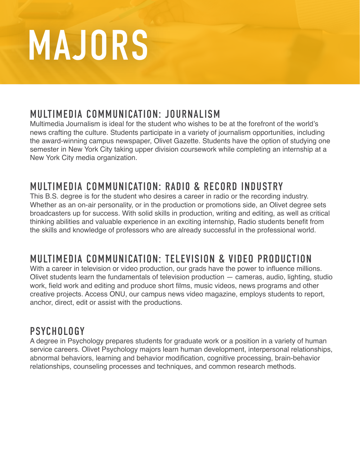# MAJORS

### MULTIMEDIA COMMUNICATION: JOURNALISM

Multimedia Journalism is ideal for the student who wishes to be at the forefront of the world's news crafting the culture. Students participate in a variety of journalism opportunities, including the award-winning campus newspaper, Olivet Gazette. Students have the option of studying one semester in New York City taking upper division coursework while completing an internship at a New York City media organization.

# MULTIMEDIA COMMUNICATION: RADI0 & RECORD INDUSTRY

This B.S. degree is for the student who desires a career in radio or the recording industry. Whether as an on-air personality, or in the production or promotions side, an Olivet degree sets broadcasters up for success. With solid skills in production, writing and editing, as well as critical thinking abilities and valuable experience in an exciting internship, Radio students benefit from the skills and knowledge of professors who are already successful in the professional world.

# MULTIMEDIA COMMUNICATION: TELEVISION & VIDEO PRODUCTION

With a career in television or video production, our grads have the power to influence millions. Olivet students learn the fundamentals of television production — cameras, audio, lighting, studio work, field work and editing and produce short films, music videos, news programs and other creative projects. Access ONU, our campus news video magazine, employs students to report, anchor, direct, edit or assist with the productions.

### **PSYCHOLOGY**

A degree in Psychology prepares students for graduate work or a position in a variety of human service careers. Olivet Psychology majors learn human development, interpersonal relationships, abnormal behaviors, learning and behavior modification, cognitive processing, brain-behavior relationships, counseling processes and techniques, and common research methods.